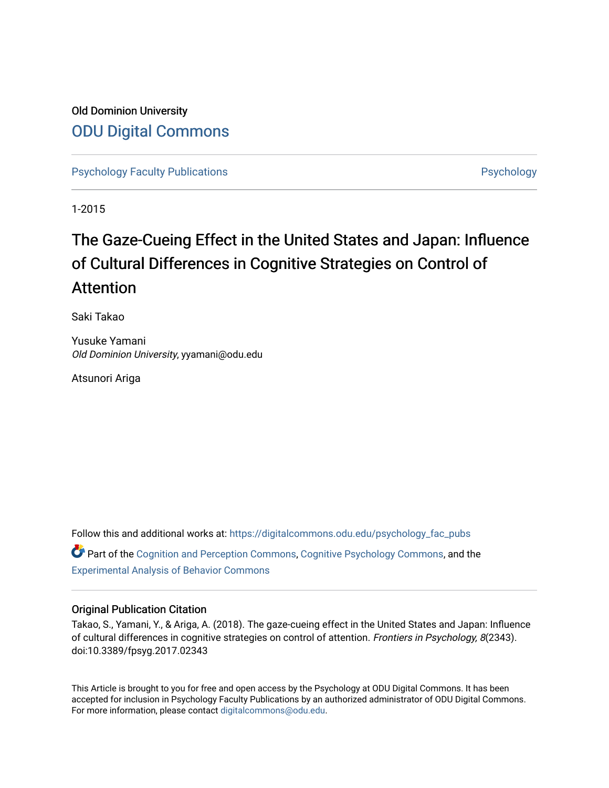## Old Dominion University [ODU Digital Commons](https://digitalcommons.odu.edu/)

[Psychology Faculty Publications](https://digitalcommons.odu.edu/psychology_fac_pubs) **Psychology** Psychology

1-2015

## The Gaze-Cueing Effect in the United States and Japan: Influence of Cultural Differences in Cognitive Strategies on Control of Attention

Saki Takao

Yusuke Yamani Old Dominion University, yyamani@odu.edu

Atsunori Ariga

Follow this and additional works at: [https://digitalcommons.odu.edu/psychology\\_fac\\_pubs](https://digitalcommons.odu.edu/psychology_fac_pubs?utm_source=digitalcommons.odu.edu%2Fpsychology_fac_pubs%2F19&utm_medium=PDF&utm_campaign=PDFCoverPages) Part of the [Cognition and Perception Commons,](http://network.bepress.com/hgg/discipline/407?utm_source=digitalcommons.odu.edu%2Fpsychology_fac_pubs%2F19&utm_medium=PDF&utm_campaign=PDFCoverPages) [Cognitive Psychology Commons](http://network.bepress.com/hgg/discipline/408?utm_source=digitalcommons.odu.edu%2Fpsychology_fac_pubs%2F19&utm_medium=PDF&utm_campaign=PDFCoverPages), and the [Experimental Analysis of Behavior Commons](http://network.bepress.com/hgg/discipline/1236?utm_source=digitalcommons.odu.edu%2Fpsychology_fac_pubs%2F19&utm_medium=PDF&utm_campaign=PDFCoverPages)

## Original Publication Citation

Takao, S., Yamani, Y., & Ariga, A. (2018). The gaze-cueing effect in the United States and Japan: Influence of cultural differences in cognitive strategies on control of attention. Frontiers in Psychology, 8(2343). doi:10.3389/fpsyg.2017.02343

This Article is brought to you for free and open access by the Psychology at ODU Digital Commons. It has been accepted for inclusion in Psychology Faculty Publications by an authorized administrator of ODU Digital Commons. For more information, please contact [digitalcommons@odu.edu](mailto:digitalcommons@odu.edu).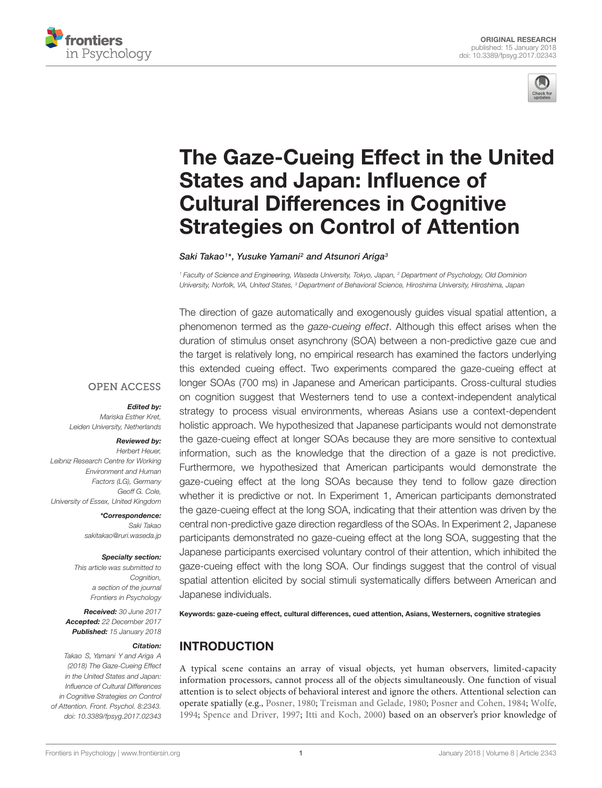



# [The Gaze-Cueing Effect in the United](https://www.frontiersin.org/articles/10.3389/fpsyg.2017.02343/full) States and Japan: Influence of Cultural Differences in Cognitive Strategies on Control of Attention

[Saki Takao](http://loop.frontiersin.org/people/454869/overview)1\*, [Yusuke Yamani](http://loop.frontiersin.org/people/278828/overview)<sup>2</sup> and [Atsunori Ariga](http://loop.frontiersin.org/people/176155/overview)<sup>3</sup>

<sup>1</sup> Faculty of Science and Engineering, Waseda University, Tokyo, Japan, <sup>2</sup> Department of Psychology, Old Dominion University, Norfolk, VA, United States, <sup>3</sup> Department of Behavioral Science, Hiroshima University, Hiroshima, Japan

The direction of gaze automatically and exogenously guides visual spatial attention, a phenomenon termed as the gaze-cueing effect. Although this effect arises when the duration of stimulus onset asynchrony (SOA) between a non-predictive gaze cue and the target is relatively long, no empirical research has examined the factors underlying this extended cueing effect. Two experiments compared the gaze-cueing effect at longer SOAs (700 ms) in Japanese and American participants. Cross-cultural studies on cognition suggest that Westerners tend to use a context-independent analytical strategy to process visual environments, whereas Asians use a context-dependent holistic approach. We hypothesized that Japanese participants would not demonstrate the gaze-cueing effect at longer SOAs because they are more sensitive to contextual information, such as the knowledge that the direction of a gaze is not predictive. Furthermore, we hypothesized that American participants would demonstrate the gaze-cueing effect at the long SOAs because they tend to follow gaze direction whether it is predictive or not. In Experiment 1, American participants demonstrated the gaze-cueing effect at the long SOA, indicating that their attention was driven by the central non-predictive gaze direction regardless of the SOAs. In Experiment 2, Japanese participants demonstrated no gaze-cueing effect at the long SOA, suggesting that the Japanese participants exercised voluntary control of their attention, which inhibited the gaze-cueing effect with the long SOA. Our findings suggest that the control of visual spatial attention elicited by social stimuli systematically differs between American and Japanese individuals.

Keywords: gaze-cueing effect, cultural differences, cued attention, Asians, Westerners, cognitive strategies

## INTRODUCTION

A typical scene contains an array of visual objects, yet human observers, limited-capacity information processors, cannot process all of the objects simultaneously. One function of visual attention is to select objects of behavioral interest and ignore the others. Attentional selection can operate spatially (e.g., [Posner,](#page-7-0) [1980;](#page-7-0) [Treisman and Gelade,](#page-8-0) [1980;](#page-8-0) [Posner and Cohen,](#page-7-1) [1984;](#page-7-1) [Wolfe,](#page-8-1) [1994;](#page-8-1) [Spence and Driver,](#page-7-2) [1997;](#page-7-2) [Itti and Koch,](#page-7-3) [2000\)](#page-7-3) based on an observer's prior knowledge of

#### **OPEN ACCESS**

Edited by:

Mariska Esther Kret, Leiden University, Netherlands

#### Reviewed by:

Herbert Heuer, Leibniz Research Centre for Working Environment and Human Factors (LG), Germany Geoff G. Cole, University of Essex, United Kingdom

> \*Correspondence: Saki Takao sakitakao@ruri.waseda.jp

#### Specialty section:

This article was submitted to Cognition, a section of the journal Frontiers in Psychology

Received: 30 June 2017 Accepted: 22 December 2017 Published: 15 January 2018

#### Citation:

Takao S, Yamani Y and Ariga A (2018) The Gaze-Cueing Effect in the United States and Japan: Influence of Cultural Differences in Cognitive Strategies on Control of Attention. Front. Psychol. 8:2343. doi: [10.3389/fpsyg.2017.02343](https://doi.org/10.3389/fpsyg.2017.02343)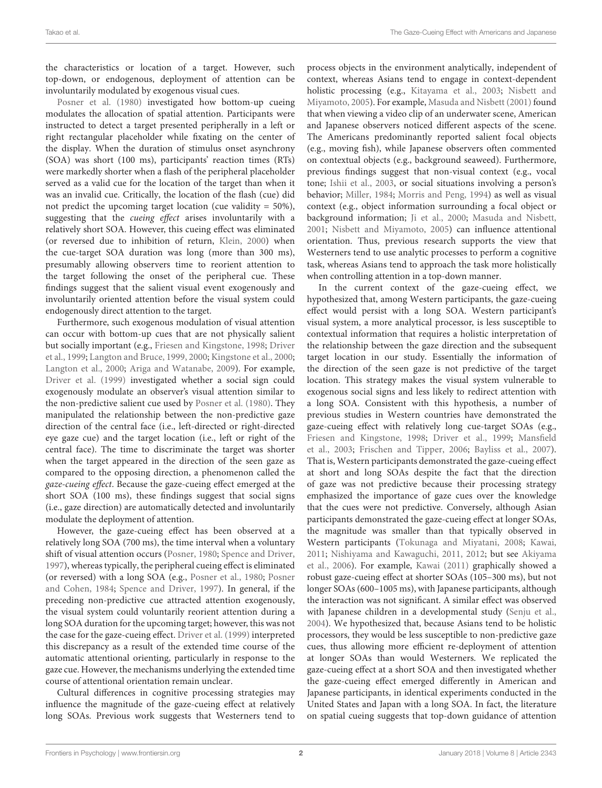the characteristics or location of a target. However, such top-down, or endogenous, deployment of attention can be involuntarily modulated by exogenous visual cues.

[Posner et al.](#page-7-4) [\(1980\)](#page-7-4) investigated how bottom-up cueing modulates the allocation of spatial attention. Participants were instructed to detect a target presented peripherally in a left or right rectangular placeholder while fixating on the center of the display. When the duration of stimulus onset asynchrony (SOA) was short (100 ms), participants' reaction times (RTs) were markedly shorter when a flash of the peripheral placeholder served as a valid cue for the location of the target than when it was an invalid cue. Critically, the location of the flash (cue) did not predict the upcoming target location (cue validity = 50%), suggesting that the cueing effect arises involuntarily with a relatively short SOA. However, this cueing effect was eliminated (or reversed due to inhibition of return, [Klein,](#page-7-5) [2000\)](#page-7-5) when the cue-target SOA duration was long (more than 300 ms), presumably allowing observers time to reorient attention to the target following the onset of the peripheral cue. These findings suggest that the salient visual event exogenously and involuntarily oriented attention before the visual system could endogenously direct attention to the target.

Furthermore, such exogenous modulation of visual attention can occur with bottom-up cues that are not physically salient but socially important (e.g., [Friesen and Kingstone,](#page-7-6) [1998;](#page-7-6) [Driver](#page-7-7) [et al.,](#page-7-7) [1999;](#page-7-7) [Langton and Bruce,](#page-7-8) [1999,](#page-7-8) [2000;](#page-7-9) [Kingstone et al.,](#page-7-10) [2000;](#page-7-10) [Langton et al.,](#page-7-11) [2000;](#page-7-11) [Ariga and Watanabe,](#page-7-12) [2009\)](#page-7-12). For example, [Driver et al.](#page-7-7) [\(1999\)](#page-7-7) investigated whether a social sign could exogenously modulate an observer's visual attention similar to the non-predictive salient cue used by [Posner et al.](#page-7-4) [\(1980\)](#page-7-4). They manipulated the relationship between the non-predictive gaze direction of the central face (i.e., left-directed or right-directed eye gaze cue) and the target location (i.e., left or right of the central face). The time to discriminate the target was shorter when the target appeared in the direction of the seen gaze as compared to the opposing direction, a phenomenon called the gaze-cueing effect. Because the gaze-cueing effect emerged at the short SOA (100 ms), these findings suggest that social signs (i.e., gaze direction) are automatically detected and involuntarily modulate the deployment of attention.

However, the gaze-cueing effect has been observed at a relatively long SOA (700 ms), the time interval when a voluntary shift of visual attention occurs [\(Posner,](#page-7-0) [1980;](#page-7-0) [Spence and Driver,](#page-7-2) [1997\)](#page-7-2), whereas typically, the peripheral cueing effect is eliminated (or reversed) with a long SOA (e.g., [Posner et al.,](#page-7-4) [1980;](#page-7-4) [Posner](#page-7-1) [and Cohen,](#page-7-1) [1984;](#page-7-1) [Spence and Driver,](#page-7-2) [1997\)](#page-7-2). In general, if the preceding non-predictive cue attracted attention exogenously, the visual system could voluntarily reorient attention during a long SOA duration for the upcoming target; however, this was not the case for the gaze-cueing effect. [Driver et al.](#page-7-7) [\(1999\)](#page-7-7) interpreted this discrepancy as a result of the extended time course of the automatic attentional orienting, particularly in response to the gaze cue. However, the mechanisms underlying the extended time course of attentional orientation remain unclear.

Cultural differences in cognitive processing strategies may influence the magnitude of the gaze-cueing effect at relatively long SOAs. Previous work suggests that Westerners tend to

process objects in the environment analytically, independent of context, whereas Asians tend to engage in context-dependent holistic processing (e.g., [Kitayama et al.,](#page-7-13) [2003;](#page-7-13) [Nisbett and](#page-7-14) [Miyamoto,](#page-7-14) [2005\)](#page-7-14). For example, [Masuda and Nisbett](#page-7-15) [\(2001\)](#page-7-15) found that when viewing a video clip of an underwater scene, American and Japanese observers noticed different aspects of the scene. The Americans predominantly reported salient focal objects (e.g., moving fish), while Japanese observers often commented on contextual objects (e.g., background seaweed). Furthermore, previous findings suggest that non-visual context (e.g., vocal tone; [Ishii et al.,](#page-7-16) [2003,](#page-7-16) or social situations involving a person's behavior; [Miller,](#page-7-17) [1984;](#page-7-17) [Morris and Peng,](#page-7-18) [1994\)](#page-7-18) as well as visual context (e.g., object information surrounding a focal object or background information; [Ji et al.,](#page-7-19) [2000;](#page-7-19) [Masuda and Nisbett,](#page-7-15) [2001;](#page-7-15) [Nisbett and Miyamoto,](#page-7-14) [2005\)](#page-7-14) can influence attentional orientation. Thus, previous research supports the view that Westerners tend to use analytic processes to perform a cognitive task, whereas Asians tend to approach the task more holistically when controlling attention in a top-down manner.

In the current context of the gaze-cueing effect, we hypothesized that, among Western participants, the gaze-cueing effect would persist with a long SOA. Western participant's visual system, a more analytical processor, is less susceptible to contextual information that requires a holistic interpretation of the relationship between the gaze direction and the subsequent target location in our study. Essentially the information of the direction of the seen gaze is not predictive of the target location. This strategy makes the visual system vulnerable to exogenous social signs and less likely to redirect attention with a long SOA. Consistent with this hypothesis, a number of previous studies in Western countries have demonstrated the gaze-cueing effect with relatively long cue-target SOAs (e.g., [Friesen and Kingstone,](#page-7-6) [1998;](#page-7-6) [Driver et al.,](#page-7-7) [1999;](#page-7-7) [Mansfield](#page-7-20) [et al.,](#page-7-20) [2003;](#page-7-20) [Frischen and Tipper,](#page-7-21) [2006;](#page-7-21) [Bayliss et al.,](#page-7-22) [2007\)](#page-7-22). That is, Western participants demonstrated the gaze-cueing effect at short and long SOAs despite the fact that the direction of gaze was not predictive because their processing strategy emphasized the importance of gaze cues over the knowledge that the cues were not predictive. Conversely, although Asian participants demonstrated the gaze-cueing effect at longer SOAs, the magnitude was smaller than that typically observed in Western participants [\(Tokunaga and Miyatani,](#page-8-2) [2008;](#page-8-2) [Kawai,](#page-7-23) [2011;](#page-7-23) [Nishiyama and Kawaguchi,](#page-7-24) [2011,](#page-7-24) [2012;](#page-7-25) but see [Akiyama](#page-7-26) [et al.,](#page-7-26) [2006\)](#page-7-26). For example, [Kawai](#page-7-23) [\(2011\)](#page-7-23) graphically showed a robust gaze-cueing effect at shorter SOAs (105–300 ms), but not longer SOAs (600–1005 ms), with Japanese participants, although the interaction was not significant. A similar effect was observed with Japanese children in a developmental study [\(Senju et al.,](#page-7-27) [2004\)](#page-7-27). We hypothesized that, because Asians tend to be holistic processors, they would be less susceptible to non-predictive gaze cues, thus allowing more efficient re-deployment of attention at longer SOAs than would Westerners. We replicated the gaze-cueing effect at a short SOA and then investigated whether the gaze-cueing effect emerged differently in American and Japanese participants, in identical experiments conducted in the United States and Japan with a long SOA. In fact, the literature on spatial cueing suggests that top-down guidance of attention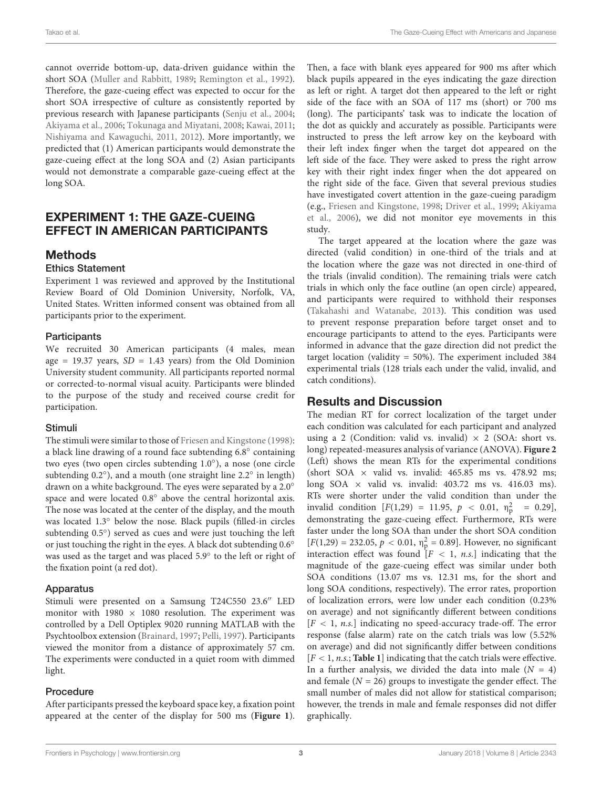cannot override bottom-up, data-driven guidance within the short SOA [\(Muller and Rabbitt,](#page-7-28) [1989;](#page-7-28) [Remington et al.,](#page-7-29) [1992\)](#page-7-29). Therefore, the gaze-cueing effect was expected to occur for the short SOA irrespective of culture as consistently reported by previous research with Japanese participants [\(Senju et al.,](#page-7-27) [2004;](#page-7-27) [Akiyama et al.,](#page-7-26) [2006;](#page-7-26) [Tokunaga and Miyatani,](#page-8-2) [2008;](#page-8-2) [Kawai,](#page-7-23) [2011;](#page-7-23) [Nishiyama and Kawaguchi,](#page-7-24) [2011,](#page-7-24) [2012\)](#page-7-25). More importantly, we predicted that (1) American participants would demonstrate the gaze-cueing effect at the long SOA and (2) Asian participants would not demonstrate a comparable gaze-cueing effect at the long SOA.

## EXPERIMENT 1: THE GAZE-CUEING EFFECT IN AMERICAN PARTICIPANTS

## **Methods**

#### Ethics Statement

Experiment 1 was reviewed and approved by the Institutional Review Board of Old Dominion University, Norfolk, VA, United States. Written informed consent was obtained from all participants prior to the experiment.

#### **Participants**

We recruited 30 American participants (4 males, mean age = 19.37 years,  $SD = 1.43$  years) from the Old Dominion University student community. All participants reported normal or corrected-to-normal visual acuity. Participants were blinded to the purpose of the study and received course credit for participation.

#### Stimuli

The stimuli were similar to those of [Friesen and Kingstone](#page-7-6) [\(1998\)](#page-7-6): a black line drawing of a round face subtending  $6.8^\circ$  containing two eyes (two open circles subtending 1.0◦ ), a nose (one circle subtending 0.2°), and a mouth (one straight line 2.2° in length) drawn on a white background. The eyes were separated by a 2.0◦ space and were located 0.8° above the central horizontal axis. The nose was located at the center of the display, and the mouth was located 1.3◦ below the nose. Black pupils (filled-in circles subtending 0.5°) served as cues and were just touching the left or just touching the right in the eyes. A black dot subtending 0.6◦ was used as the target and was placed 5.9◦ to the left or right of the fixation point (a red dot).

#### Apparatus

Stimuli were presented on a Samsung T24C550 23.6" LED monitor with 1980  $\times$  1080 resolution. The experiment was controlled by a Dell Optiplex 9020 running MATLAB with the Psychtoolbox extension [\(Brainard,](#page-7-30) [1997;](#page-7-30) [Pelli,](#page-7-31) [1997\)](#page-7-31). Participants viewed the monitor from a distance of approximately 57 cm. The experiments were conducted in a quiet room with dimmed light.

#### Procedure

After participants pressed the keyboard space key, a fixation point appeared at the center of the display for 500 ms (**[Figure 1](#page-4-0)**). Then, a face with blank eyes appeared for 900 ms after which black pupils appeared in the eyes indicating the gaze direction as left or right. A target dot then appeared to the left or right side of the face with an SOA of 117 ms (short) or 700 ms (long). The participants' task was to indicate the location of the dot as quickly and accurately as possible. Participants were instructed to press the left arrow key on the keyboard with their left index finger when the target dot appeared on the left side of the face. They were asked to press the right arrow key with their right index finger when the dot appeared on the right side of the face. Given that several previous studies have investigated covert attention in the gaze-cueing paradigm (e.g., [Friesen and Kingstone,](#page-7-6) [1998;](#page-7-6) [Driver et al.,](#page-7-7) [1999;](#page-7-7) [Akiyama](#page-7-26) [et al.,](#page-7-26) [2006\)](#page-7-26), we did not monitor eye movements in this study.

The target appeared at the location where the gaze was directed (valid condition) in one-third of the trials and at the location where the gaze was not directed in one-third of the trials (invalid condition). The remaining trials were catch trials in which only the face outline (an open circle) appeared, and participants were required to withhold their responses [\(Takahashi and Watanabe,](#page-7-32) [2013\)](#page-7-32). This condition was used to prevent response preparation before target onset and to encourage participants to attend to the eyes. Participants were informed in advance that the gaze direction did not predict the target location (validity = 50%). The experiment included 384 experimental trials (128 trials each under the valid, invalid, and catch conditions).

## Results and Discussion

The median RT for correct localization of the target under each condition was calculated for each participant and analyzed using a 2 (Condition: valid vs. invalid)  $\times$  2 (SOA: short vs. long) repeated-measures analysis of variance (ANOVA). **[Figure 2](#page-4-1)** (Left) shows the mean RTs for the experimental conditions (short SOA  $\times$  valid vs. invalid: 465.85 ms vs. 478.92 ms; long SOA  $\times$  valid vs. invalid: 403.72 ms vs. 416.03 ms). RTs were shorter under the valid condition than under the invalid condition  $[F(1,29) = 11.95, p < 0.01, \eta_p^2 = 0.29]$ , demonstrating the gaze-cueing effect. Furthermore, RTs were faster under the long SOA than under the short SOA condition  $[F(1,29) = 232.05, p < 0.01, \eta_p^2 = 0.89]$ . However, no significant interaction effect was found  $[F < 1, n.s.]$  indicating that the magnitude of the gaze-cueing effect was similar under both SOA conditions (13.07 ms vs. 12.31 ms, for the short and long SOA conditions, respectively). The error rates, proportion of localization errors, were low under each condition (0.23% on average) and not significantly different between conditions  $[F < 1, n.s.]$  indicating no speed-accuracy trade-off. The error response (false alarm) rate on the catch trials was low (5.52% on average) and did not significantly differ between conditions  $[F < 1, n.s.$ ; **[Table 1](#page-5-0)**] indicating that the catch trials were effective. In a further analysis, we divided the data into male  $(N = 4)$ and female  $(N = 26)$  groups to investigate the gender effect. The small number of males did not allow for statistical comparison; however, the trends in male and female responses did not differ graphically.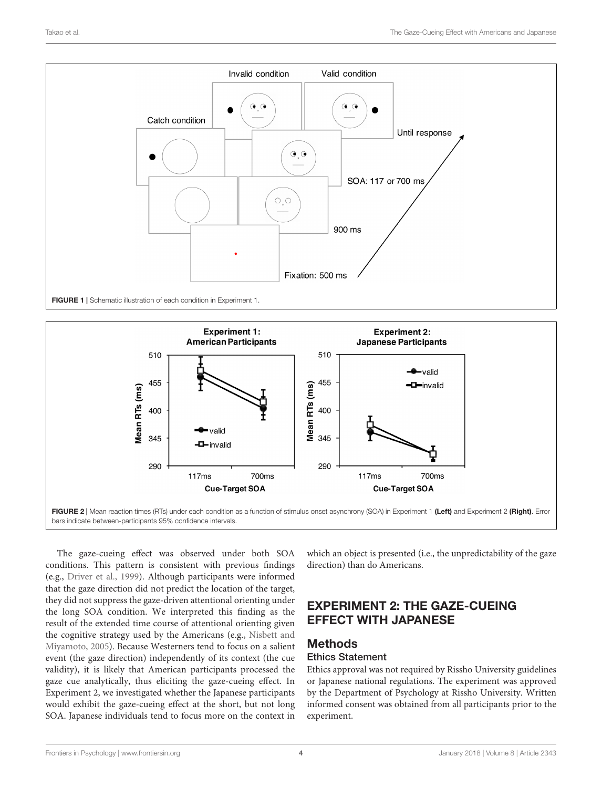

<span id="page-4-0"></span>

<span id="page-4-1"></span>The gaze-cueing effect was observed under both SOA conditions. This pattern is consistent with previous findings (e.g., [Driver et al.,](#page-7-7) [1999\)](#page-7-7). Although participants were informed that the gaze direction did not predict the location of the target, they did not suppress the gaze-driven attentional orienting under the long SOA condition. We interpreted this finding as the result of the extended time course of attentional orienting given the cognitive strategy used by the Americans (e.g., [Nisbett and](#page-7-14) [Miyamoto,](#page-7-14) [2005\)](#page-7-14). Because Westerners tend to focus on a salient event (the gaze direction) independently of its context (the cue validity), it is likely that American participants processed the gaze cue analytically, thus eliciting the gaze-cueing effect. In Experiment 2, we investigated whether the Japanese participants would exhibit the gaze-cueing effect at the short, but not long SOA. Japanese individuals tend to focus more on the context in

which an object is presented (i.e., the unpredictability of the gaze direction) than do Americans.

## EXPERIMENT 2: THE GAZE-CUEING EFFECT WITH JAPANESE

## **Methods**

#### Ethics Statement

Ethics approval was not required by Rissho University guidelines or Japanese national regulations. The experiment was approved by the Department of Psychology at Rissho University. Written informed consent was obtained from all participants prior to the experiment.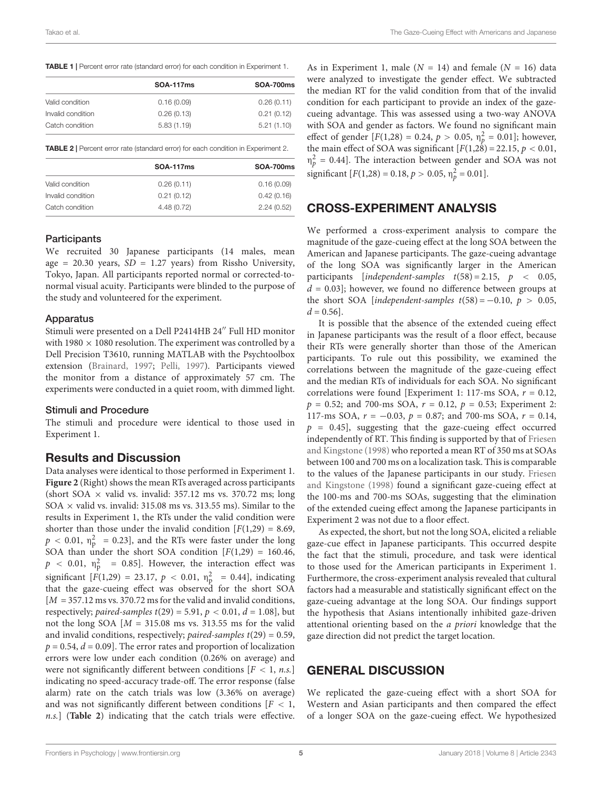<span id="page-5-0"></span>

|  |  |  |  |  |  |  | TABLE 1   Percent error rate (standard error) for each condition in Experiment 1. |  |
|--|--|--|--|--|--|--|-----------------------------------------------------------------------------------|--|
|--|--|--|--|--|--|--|-----------------------------------------------------------------------------------|--|

|                   | <b>SOA-117ms</b> | <b>SOA-700ms</b> |  |
|-------------------|------------------|------------------|--|
| Valid condition   | 0.16(0.09)       | 0.26(0.11)       |  |
| Invalid condition | 0.26(0.13)       | 0.21(0.12)       |  |
| Catch condition   | 5.83(1.19)       | 5.21(1.10)       |  |

<span id="page-5-1"></span>TABLE 2 | Percent error rate (standard error) for each condition in Experiment 2.

|                   | <b>SOA-117ms</b> | <b>SOA-700ms</b> |
|-------------------|------------------|------------------|
| Valid condition   | 0.26(0.11)       | 0.16(0.09)       |
| Invalid condition | 0.21(0.12)       | 0.42(0.16)       |
| Catch condition   | 4.48 (0.72)      | 2.24(0.52)       |

#### **Participants**

We recruited 30 Japanese participants (14 males, mean age = 20.30 years,  $SD = 1.27$  years) from Rissho University, Tokyo, Japan. All participants reported normal or corrected-tonormal visual acuity. Participants were blinded to the purpose of the study and volunteered for the experiment.

#### Apparatus

Stimuli were presented on a Dell P2414HB 24" Full HD monitor with 1980  $\times$  1080 resolution. The experiment was controlled by a Dell Precision T3610, running MATLAB with the Psychtoolbox extension [\(Brainard,](#page-7-30) [1997;](#page-7-30) [Pelli,](#page-7-31) [1997\)](#page-7-31). Participants viewed the monitor from a distance of approximately 57 cm. The experiments were conducted in a quiet room, with dimmed light.

#### Stimuli and Procedure

The stimuli and procedure were identical to those used in Experiment 1.

#### Results and Discussion

Data analyses were identical to those performed in Experiment 1. **[Figure 2](#page-4-1)** (Right) shows the mean RTs averaged across participants (short SOA  $\times$  valid vs. invalid: 357.12 ms vs. 370.72 ms; long  $SOA \times$  valid vs. invalid: 315.08 ms vs. 313.55 ms). Similar to the results in Experiment 1, the RTs under the valid condition were shorter than those under the invalid condition  $[F(1,29) = 8.69,$  $p < 0.01$ ,  $\eta_{\rm p}^2 = 0.23$ ], and the RTs were faster under the long SOA than under the short SOA condition  $[F(1,29) = 160.46,$  $p \sim 0.01$ ,  $\eta_p^2 = 0.85$ ]. However, the interaction effect was significant  $[F(1,29) = 23.17, p < 0.01, \eta_{p}^{2} = 0.44]$ , indicating that the gaze-cueing effect was observed for the short SOA  $[M = 357.12 \text{ ms vs. } 370.72 \text{ ms for the valid and invalid conditions,}$ respectively; paired-samples  $t(29) = 5.91$ ,  $p < 0.01$ ,  $d = 1.08$ , but not the long SOA  $[M = 315.08 \text{ ms vs. } 313.55 \text{ ms for the valid}]$ and invalid conditions, respectively; paired-samples  $t(29) = 0.59$ ,  $p = 0.54$ ,  $d = 0.09$ . The error rates and proportion of localization errors were low under each condition (0.26% on average) and were not significantly different between conditions  $[F < 1, n.s.]$ indicating no speed-accuracy trade-off. The error response (false alarm) rate on the catch trials was low (3.36% on average) and was not significantly different between conditions  $[F < 1,$ n.s.] (**[Table 2](#page-5-1)**) indicating that the catch trials were effective.

As in Experiment 1, male ( $N = 14$ ) and female ( $N = 16$ ) data were analyzed to investigate the gender effect. We subtracted the median RT for the valid condition from that of the invalid condition for each participant to provide an index of the gazecueing advantage. This was assessed using a two-way ANOVA with SOA and gender as factors. We found no significant main effect of gender  $[F(1,28) = 0.24, p > 0.05, \eta_p^2 = 0.01]$ ; however, the main effect of SOA was significant  $[F(1,28) = 22.15, p < 0.01,$  $\eta_p^2$  = 0.44]. The interaction between gender and SOA was not significant  $[F(1,28) = 0.18, p > 0.05, \eta_p^2 = 0.01]$ .

## CROSS-EXPERIMENT ANALYSIS

We performed a cross-experiment analysis to compare the magnitude of the gaze-cueing effect at the long SOA between the American and Japanese participants. The gaze-cueing advantage of the long SOA was significantly larger in the American participants [independent-samples  $t(58) = 2.15$ ,  $p < 0.05$ ,  $d = 0.03$ ; however, we found no difference between groups at the short SOA [independent-samples  $t(58) = -0.10$ ,  $p > 0.05$ ,  $d = 0.56$ ].

It is possible that the absence of the extended cueing effect in Japanese participants was the result of a floor effect, because their RTs were generally shorter than those of the American participants. To rule out this possibility, we examined the correlations between the magnitude of the gaze-cueing effect and the median RTs of individuals for each SOA. No significant correlations were found [Experiment 1: 117-ms SOA,  $r = 0.12$ ,  $p = 0.52$ ; and 700-ms SOA,  $r = 0.12$ ,  $p = 0.53$ ; Experiment 2: 117-ms SOA,  $r = -0.03$ ,  $p = 0.87$ ; and 700-ms SOA,  $r = 0.14$ ,  $p = 0.45$ , suggesting that the gaze-cueing effect occurred independently of RT. This finding is supported by that of [Friesen](#page-7-6) [and Kingstone](#page-7-6) [\(1998\)](#page-7-6) who reported a mean RT of 350 ms at SOAs between 100 and 700 ms on a localization task. This is comparable to the values of the Japanese participants in our study. [Friesen](#page-7-6) [and Kingstone](#page-7-6) [\(1998\)](#page-7-6) found a significant gaze-cueing effect at the 100-ms and 700-ms SOAs, suggesting that the elimination of the extended cueing effect among the Japanese participants in Experiment 2 was not due to a floor effect.

As expected, the short, but not the long SOA, elicited a reliable gaze-cue effect in Japanese participants. This occurred despite the fact that the stimuli, procedure, and task were identical to those used for the American participants in Experiment 1. Furthermore, the cross-experiment analysis revealed that cultural factors had a measurable and statistically significant effect on the gaze-cueing advantage at the long SOA. Our findings support the hypothesis that Asians intentionally inhibited gaze-driven attentional orienting based on the a priori knowledge that the gaze direction did not predict the target location.

## GENERAL DISCUSSION

We replicated the gaze-cueing effect with a short SOA for Western and Asian participants and then compared the effect of a longer SOA on the gaze-cueing effect. We hypothesized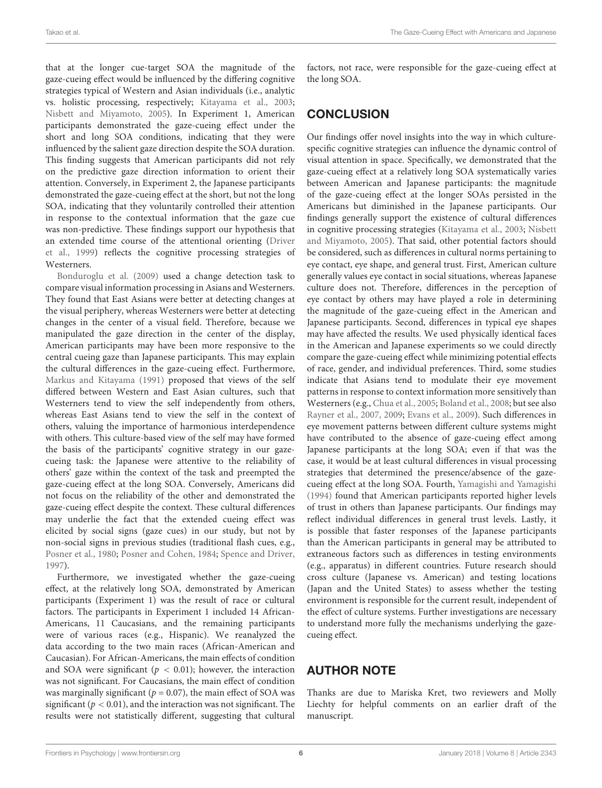that at the longer cue-target SOA the magnitude of the gaze-cueing effect would be influenced by the differing cognitive strategies typical of Western and Asian individuals (i.e., analytic vs. holistic processing, respectively; [Kitayama et al.,](#page-7-13) [2003;](#page-7-13) [Nisbett and Miyamoto,](#page-7-14) [2005\)](#page-7-14). In Experiment 1, American participants demonstrated the gaze-cueing effect under the short and long SOA conditions, indicating that they were influenced by the salient gaze direction despite the SOA duration. This finding suggests that American participants did not rely on the predictive gaze direction information to orient their attention. Conversely, in Experiment 2, the Japanese participants demonstrated the gaze-cueing effect at the short, but not the long SOA, indicating that they voluntarily controlled their attention in response to the contextual information that the gaze cue was non-predictive. These findings support our hypothesis that an extended time course of the attentional orienting [\(Driver](#page-7-7) [et al.,](#page-7-7) [1999\)](#page-7-7) reflects the cognitive processing strategies of Westerners.

[Bonduroglu et al.](#page-7-33) [\(2009\)](#page-7-33) used a change detection task to compare visual information processing in Asians and Westerners. They found that East Asians were better at detecting changes at the visual periphery, whereas Westerners were better at detecting changes in the center of a visual field. Therefore, because we manipulated the gaze direction in the center of the display, American participants may have been more responsive to the central cueing gaze than Japanese participants. This may explain the cultural differences in the gaze-cueing effect. Furthermore, [Markus and Kitayama](#page-7-34) [\(1991\)](#page-7-34) proposed that views of the self differed between Western and East Asian cultures, such that Westerners tend to view the self independently from others, whereas East Asians tend to view the self in the context of others, valuing the importance of harmonious interdependence with others. This culture-based view of the self may have formed the basis of the participants' cognitive strategy in our gazecueing task: the Japanese were attentive to the reliability of others' gaze within the context of the task and preempted the gaze-cueing effect at the long SOA. Conversely, Americans did not focus on the reliability of the other and demonstrated the gaze-cueing effect despite the context. These cultural differences may underlie the fact that the extended cueing effect was elicited by social signs (gaze cues) in our study, but not by non-social signs in previous studies (traditional flash cues, e.g., [Posner et al.,](#page-7-4) [1980;](#page-7-4) [Posner and Cohen,](#page-7-1) [1984;](#page-7-1) [Spence and Driver,](#page-7-2) [1997\)](#page-7-2).

Furthermore, we investigated whether the gaze-cueing effect, at the relatively long SOA, demonstrated by American participants (Experiment 1) was the result of race or cultural factors. The participants in Experiment 1 included 14 African-Americans, 11 Caucasians, and the remaining participants were of various races (e.g., Hispanic). We reanalyzed the data according to the two main races (African-American and Caucasian). For African-Americans, the main effects of condition and SOA were significant ( $p < 0.01$ ); however, the interaction was not significant. For Caucasians, the main effect of condition was marginally significant ( $p = 0.07$ ), the main effect of SOA was significant ( $p < 0.01$ ), and the interaction was not significant. The results were not statistically different, suggesting that cultural

factors, not race, were responsible for the gaze-cueing effect at the long SOA.

## **CONCLUSION**

Our findings offer novel insights into the way in which culturespecific cognitive strategies can influence the dynamic control of visual attention in space. Specifically, we demonstrated that the gaze-cueing effect at a relatively long SOA systematically varies between American and Japanese participants: the magnitude of the gaze-cueing effect at the longer SOAs persisted in the Americans but diminished in the Japanese participants. Our findings generally support the existence of cultural differences in cognitive processing strategies [\(Kitayama et al.,](#page-7-13) [2003;](#page-7-13) [Nisbett](#page-7-14) [and Miyamoto,](#page-7-14) [2005\)](#page-7-14). That said, other potential factors should be considered, such as differences in cultural norms pertaining to eye contact, eye shape, and general trust. First, American culture generally values eye contact in social situations, whereas Japanese culture does not. Therefore, differences in the perception of eye contact by others may have played a role in determining the magnitude of the gaze-cueing effect in the American and Japanese participants. Second, differences in typical eye shapes may have affected the results. We used physically identical faces in the American and Japanese experiments so we could directly compare the gaze-cueing effect while minimizing potential effects of race, gender, and individual preferences. Third, some studies indicate that Asians tend to modulate their eye movement patterns in response to context information more sensitively than Westerners (e.g., [Chua et al.,](#page-7-35) [2005;](#page-7-35) [Boland et al.,](#page-7-36) [2008;](#page-7-36) but see also [Rayner et al.,](#page-7-37) [2007,](#page-7-37) [2009;](#page-7-38) [Evans et al.,](#page-7-39) [2009\)](#page-7-39). Such differences in eye movement patterns between different culture systems might have contributed to the absence of gaze-cueing effect among Japanese participants at the long SOA; even if that was the case, it would be at least cultural differences in visual processing strategies that determined the presence/absence of the gazecueing effect at the long SOA. Fourth, [Yamagishi and Yamagishi](#page-8-3) [\(1994\)](#page-8-3) found that American participants reported higher levels of trust in others than Japanese participants. Our findings may reflect individual differences in general trust levels. Lastly, it is possible that faster responses of the Japanese participants than the American participants in general may be attributed to extraneous factors such as differences in testing environments (e.g., apparatus) in different countries. Future research should cross culture (Japanese vs. American) and testing locations (Japan and the United States) to assess whether the testing environment is responsible for the current result, independent of the effect of culture systems. Further investigations are necessary to understand more fully the mechanisms underlying the gazecueing effect.

## AUTHOR NOTE

Thanks are due to Mariska Kret, two reviewers and Molly Liechty for helpful comments on an earlier draft of the manuscript.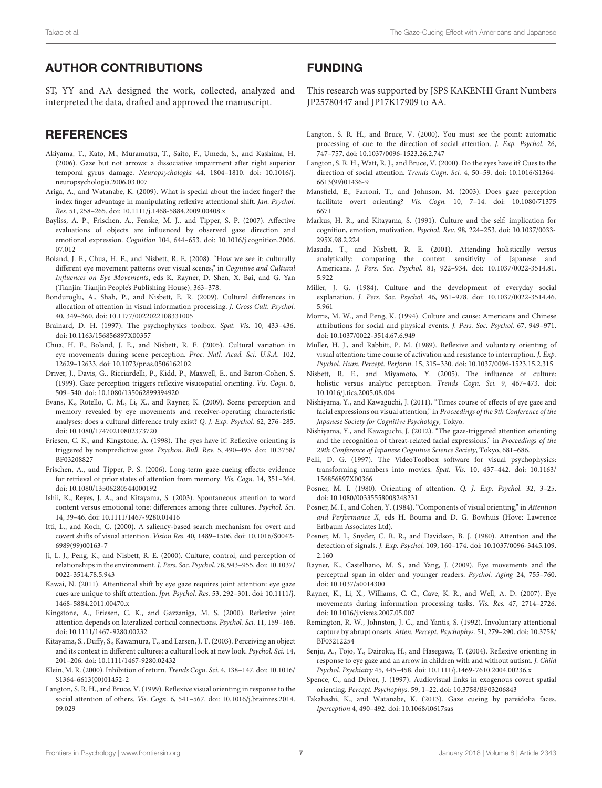## AUTHOR CONTRIBUTIONS

ST, YY and AA designed the work, collected, analyzed and interpreted the data, drafted and approved the manuscript.

## **REFERENCES**

- <span id="page-7-26"></span>Akiyama, T., Kato, M., Muramatsu, T., Saito, F., Umeda, S., and Kashima, H. (2006). Gaze but not arrows: a dissociative impairment after right superior temporal gyrus damage. Neuropsychologia 44, 1804–1810. [doi: 10.1016/j.](https://doi.org/10.1016/j.neuropsychologia.2006.03.007) [neuropsychologia.2006.03.007](https://doi.org/10.1016/j.neuropsychologia.2006.03.007)
- <span id="page-7-12"></span>Ariga, A., and Watanabe, K. (2009). What is special about the index finger? the index finger advantage in manipulating reflexive attentional shift. Jan. Psychol. Res. 51, 258–265. [doi: 10.1111/j.1468-5884.2009.00408.x](https://doi.org/10.1111/j.1468-5884.2009.00408.x)
- <span id="page-7-22"></span>Bayliss, A. P., Frischen, A., Fenske, M. J., and Tipper, S. P. (2007). Affective evaluations of objects are influenced by observed gaze direction and emotional expression. Cognition 104, 644–653. [doi: 10.1016/j.cognition.2006.](https://doi.org/10.1016/j.cognition.2006.07.012) [07.012](https://doi.org/10.1016/j.cognition.2006.07.012)
- <span id="page-7-36"></span>Boland, J. E., Chua, H. F., and Nisbett, R. E. (2008). "How we see it: culturally different eye movement patterns over visual scenes," in Cognitive and Cultural Influences on Eye Movements, eds K. Rayner, D. Shen, X. Bai, and G. Yan (Tianjin: Tianjin People's Publishing House), 363–378.
- <span id="page-7-33"></span>Bonduroglu, A., Shah, P., and Nisbett, E. R. (2009). Cultural differences in allocation of attention in visual information processing. J. Cross Cult. Psychol. 40, 349–360. [doi: 10.1177/0022022108331005](https://doi.org/10.1177/0022022108331005)
- <span id="page-7-30"></span>Brainard, D. H. (1997). The psychophysics toolbox. Spat. Vis. 10, 433–436. [doi: 10.1163/156856897X00357](https://doi.org/10.1163/156856897X00357)
- <span id="page-7-35"></span>Chua, H. F., Boland, J. E., and Nisbett, R. E. (2005). Cultural variation in eye movements during scene perception. Proc. Natl. Acad. Sci. U.S.A. 102, 12629–12633. [doi: 10.1073/pnas.0506162102](https://doi.org/10.1073/pnas.0506162102)
- <span id="page-7-7"></span>Driver, J., Davis, G., Ricciardelli, P., Kidd, P., Maxwell, E., and Baron-Cohen, S. (1999). Gaze perception triggers reflexive visuospatial orienting. Vis. Cogn. 6, 509–540. [doi: 10.1080/135062899394920](https://doi.org/10.1080/135062899394920)
- <span id="page-7-39"></span>Evans, K., Rotello, C. M., Li, X., and Rayner, K. (2009). Scene perception and memory revealed by eye movements and receiver-operating characteristic analyses: does a cultural difference truly exist? Q. J. Exp. Psychol. 62, 276–285. [doi: 10.1080/17470210802373720](https://doi.org/10.1080/17470210802373720)
- <span id="page-7-6"></span>Friesen, C. K., and Kingstone, A. (1998). The eyes have it! Reflexive orienting is triggered by nonpredictive gaze. Psychon. Bull. Rev. 5, 490–495. [doi: 10.3758/](https://doi.org/10.3758/BF03208827) [BF03208827](https://doi.org/10.3758/BF03208827)
- <span id="page-7-21"></span>Frischen, A., and Tipper, P. S. (2006). Long-term gaze-cueing effects: evidence for retrieval of prior states of attention from memory. Vis. Cogn. 14, 351–364. [doi: 10.1080/13506280544000192](https://doi.org/10.1080/13506280544000192)
- <span id="page-7-16"></span>Ishii, K., Reyes, J. A., and Kitayama, S. (2003). Spontaneous attention to word content versus emotional tone: differences among three cultures. Psychol. Sci. 14, 39–46. [doi: 10.1111/1467-9280.01416](https://doi.org/10.1111/1467-9280.01416)
- <span id="page-7-3"></span>Itti, L., and Koch, C. (2000). A saliency-based search mechanism for overt and covert shifts of visual attention. Vision Res. 40, 1489–1506. [doi: 10.1016/S0042-](https://doi.org/10.1016/S0042-6989(99)00163-7) [6989\(99\)00163-7](https://doi.org/10.1016/S0042-6989(99)00163-7)
- <span id="page-7-19"></span>Ji, L. J., Peng, K., and Nisbett, R. E. (2000). Culture, control, and perception of relationships in the environment. J. Pers. Soc. Psychol. 78, 943–955. [doi: 10.1037/](https://doi.org/10.1037/0022-3514.78.5.943) [0022-3514.78.5.943](https://doi.org/10.1037/0022-3514.78.5.943)
- <span id="page-7-23"></span>Kawai, N. (2011). Attentional shift by eye gaze requires joint attention: eye gaze cues are unique to shift attention. Jpn. Psychol. Res. 53, 292–301. [doi: 10.1111/j.](https://doi.org/10.1111/j.1468-5884.2011.00470.x) [1468-5884.2011.00470.x](https://doi.org/10.1111/j.1468-5884.2011.00470.x)
- <span id="page-7-10"></span>Kingstone, A., Friesen, C. K., and Gazzaniga, M. S. (2000). Reflexive joint attention depends on lateralized cortical connections. Psychol. Sci. 11, 159–166. [doi: 10.1111/1467-9280.00232](https://doi.org/10.1111/1467-9280.00232)
- <span id="page-7-13"></span>Kitayama, S., Duffy, S., Kawamura, T., and Larsen, J. T. (2003). Perceiving an object and its context in different cultures: a cultural look at new look. Psychol. Sci. 14, 201–206. [doi: 10.1111/1467-9280.02432](https://doi.org/10.1111/1467-9280.02432)
- <span id="page-7-5"></span>Klein, M. R. (2000). Inhibition of return. Trends Cogn. Sci. 4, 138–147. [doi: 10.1016/](https://doi.org/10.1016/S1364-6613(00)01452-2) [S1364-6613\(00\)01452-2](https://doi.org/10.1016/S1364-6613(00)01452-2)
- <span id="page-7-8"></span>Langton, S. R. H., and Bruce, V. (1999). Reflexive visual orienting in response to the social attention of others. Vis. Cogn. 6, 541-567. [doi: 10.1016/j.brainres.2014.](https://doi.org/10.1016/j.brainres.2014.09.029) [09.029](https://doi.org/10.1016/j.brainres.2014.09.029)

## FUNDING

This research was supported by JSPS KAKENHI Grant Numbers JP25780447 and JP17K17909 to AA.

- <span id="page-7-9"></span>Langton, S. R. H., and Bruce, V. (2000). You must see the point: automatic processing of cue to the direction of social attention. J. Exp. Psychol. 26, 747–757. [doi: 10.1037/0096-1523.26.2.747](https://doi.org/10.1037/0096-1523.26.2.747)
- <span id="page-7-11"></span>Langton, S. R. H., Watt, R. J., and Bruce, V. (2000). Do the eyes have it? Cues to the direction of social attention. Trends Cogn. Sci. 4, 50–59. [doi: 10.1016/S1364-](https://doi.org/10.1016/S1364-6613(99)01436-9) [6613\(99\)01436-9](https://doi.org/10.1016/S1364-6613(99)01436-9)
- <span id="page-7-20"></span>Mansfield, E., Farroni, T., and Johnson, M. (2003). Does gaze perception facilitate overt orienting? Vis. Cogn. 10, 7–14. [doi: 10.1080/71375](https://doi.org/10.1080/713756671) [6671](https://doi.org/10.1080/713756671)
- <span id="page-7-34"></span>Markus, H. R., and Kitayama, S. (1991). Culture and the self: implication for cognition, emotion, motivation. Psychol. Rev. 98, 224–253. [doi: 10.1037/0033-](https://doi.org/10.1037/0033-295X.98.2.224) [295X.98.2.224](https://doi.org/10.1037/0033-295X.98.2.224)
- <span id="page-7-15"></span>Masuda, T., and Nisbett, R. E. (2001). Attending holistically versus analytically: comparing the context sensitivity of Japanese and Americans. J. Pers. Soc. Psychol. 81, 922–934. [doi: 10.1037/0022-3514.81.](https://doi.org/10.1037/0022-3514.81.5.922) [5.922](https://doi.org/10.1037/0022-3514.81.5.922)
- <span id="page-7-17"></span>Miller, J. G. (1984). Culture and the development of everyday social explanation. J. Pers. Soc. Psychol. 46, 961–978. [doi: 10.1037/0022-3514.46.](https://doi.org/10.1037/0022-3514.46.5.961) [5.961](https://doi.org/10.1037/0022-3514.46.5.961)
- <span id="page-7-18"></span>Morris, M. W., and Peng, K. (1994). Culture and cause: Americans and Chinese attributions for social and physical events. J. Pers. Soc. Psychol. 67, 949–971. [doi: 10.1037/0022-3514.67.6.949](https://doi.org/10.1037/0022-3514.67.6.949)
- <span id="page-7-28"></span>Muller, H. J., and Rabbitt, P. M. (1989). Reflexive and voluntary orienting of visual attention: time course of activation and resistance to interruption. J. Exp. Psychol. Hum. Percept. Perform. 15, 315–330. [doi: 10.1037/0096-1523.15.2.315](https://doi.org/10.1037/0096-1523.15.2.315)
- <span id="page-7-14"></span>Nisbett, R. E., and Miyamoto, Y. (2005). The influence of culture: holistic versus analytic perception. Trends Cogn. Sci. 9, 467–473. [doi:](https://doi.org/10.1016/j.tics.2005.08.004) [10.1016/j.tics.2005.08.004](https://doi.org/10.1016/j.tics.2005.08.004)
- <span id="page-7-24"></span>Nishiyama, Y., and Kawaguchi, J. (2011). "Times course of effects of eye gaze and facial expressions on visual attention," in Proceedings of the 9th Conference of the Japanese Society for Cognitive Psychology, Tokyo.
- <span id="page-7-25"></span>Nishiyama, Y., and Kawaguchi, J. (2012). "The gaze-triggered attention orienting and the recognition of threat-related facial expressions," in Proceedings of the 29th Conference of Japanese Cognitive Science Society, Tokyo, 681–686.
- <span id="page-7-31"></span>Pelli, D. G. (1997). The VideoToolbox software for visual psychophysics: transforming numbers into movies. Spat. Vis. 10, 437–442. [doi: 10.1163/](https://doi.org/10.1163/156856897X00366) [156856897X00366](https://doi.org/10.1163/156856897X00366)
- <span id="page-7-0"></span>Posner, M. I. (1980). Orienting of attention. Q. J. Exp. Psychol. 32, 3–25. [doi: 10.1080/00335558008248231](https://doi.org/10.1080/00335558008248231)
- <span id="page-7-1"></span>Posner, M. I., and Cohen, Y. (1984). "Components of visual orienting," in Attention and Performance X, eds H. Bouma and D. G. Bowhuis (Hove: Lawrence Erlbaum Associates Ltd).
- <span id="page-7-4"></span>Posner, M. I., Snyder, C. R. R., and Davidson, B. J. (1980). Attention and the detection of signals. J. Exp. Psychol. 109, 160–174. [doi: 10.1037/0096-3445.109.](https://doi.org/10.1037/0096-3445.109.2.160) [2.160](https://doi.org/10.1037/0096-3445.109.2.160)
- <span id="page-7-38"></span>Rayner, K., Castelhano, M. S., and Yang, J. (2009). Eye movements and the perceptual span in older and younger readers. Psychol. Aging 24, 755–760. [doi: 10.1037/a0014300](https://doi.org/10.1037/a0014300)
- <span id="page-7-37"></span>Rayner, K., Li, X., Williams, C. C., Cave, K. R., and Well, A. D. (2007). Eye movements during information processing tasks. Vis. Res. 47, 2714–2726. [doi: 10.1016/j.visres.2007.05.007](https://doi.org/10.1016/j.visres.2007.05.007)
- <span id="page-7-29"></span>Remington, R. W., Johnston, J. C., and Yantis, S. (1992). Involuntary attentional capture by abrupt onsets. Atten. Percept. Psychophys. 51, 279–290. [doi: 10.3758/](https://doi.org/10.3758/BF03212254) [BF03212254](https://doi.org/10.3758/BF03212254)
- <span id="page-7-27"></span>Senju, A., Tojo, Y., Dairoku, H., and Hasegawa, T. (2004). Reflexive orienting in response to eye gaze and an arrow in children with and without autism. J. Child Psychol. Psychiatry 45, 445–458. [doi: 10.1111/j.1469-7610.2004.00236.x](https://doi.org/10.1111/j.1469-7610.2004.00236.x)
- <span id="page-7-2"></span>Spence, C., and Driver, J. (1997). Audiovisual links in exogenous covert spatial orienting. Percept. Psychophys. 59, 1–22. [doi: 10.3758/BF03206843](https://doi.org/10.3758/BF03206843)
- <span id="page-7-32"></span>Takahashi, K., and Watanabe, K. (2013). Gaze cueing by pareidolia faces. Iperception 4, 490–492. [doi: 10.1068/i0617sas](https://doi.org/10.1068/i0617sas)